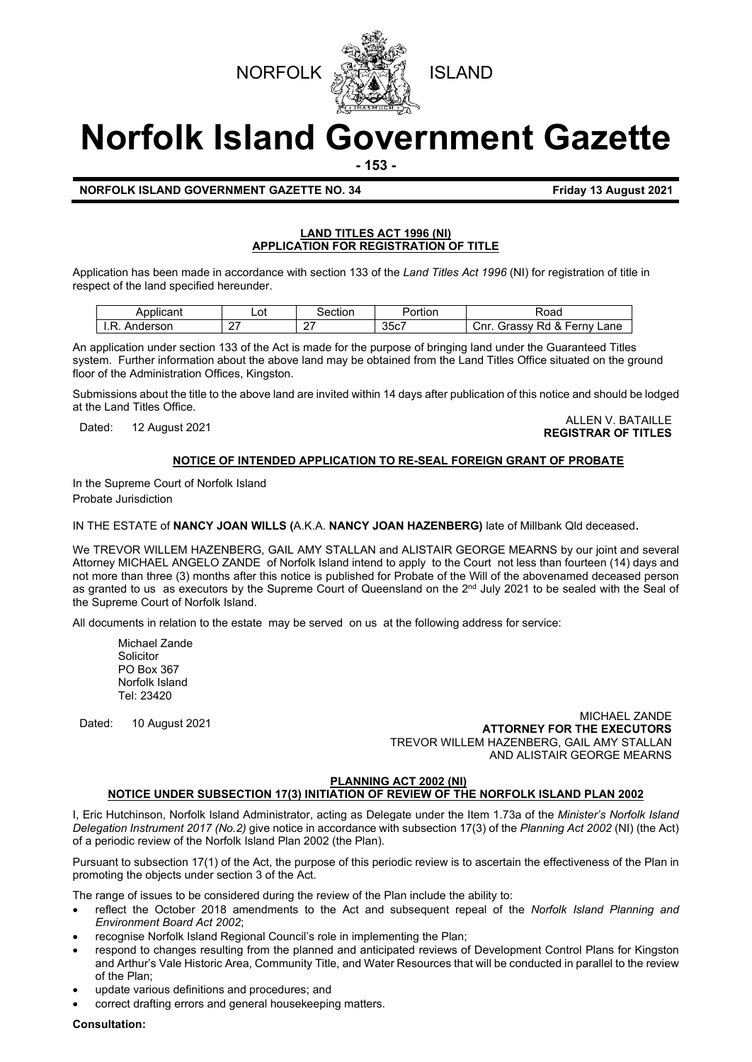



# **Norfolk Island Government Gazette**

**- 153 -**

## **NORFOLK ISLAND GOVERNMENT GAZETTE NO. 34 Friday 13 August 2021**

#### **LAND TITLES ACT 1996 (NI) APPLICATION FOR REGISTRATION OF TITLE**

Application has been made in accordance with section 133 of the *Land Titles Act 1996* (NI) for registration of title in respect of the land specified hereunder.

| Applicant          | Lot           | ∋ection | 'ortion              | ≺oad                                             |
|--------------------|---------------|---------|----------------------|--------------------------------------------------|
| D<br>nderson<br>ъ. | $\sim$<br>. . |         | $\sim$ $\sim$<br>35c | Ω<br>Rd<br>Ferny<br>Lane<br>Cnr.<br>arassvٽ<br>് |

An application under section 133 of the Act is made for the purpose of bringing land under the Guaranteed Titles system. Further information about the above land may be obtained from the Land Titles Office situated on the ground floor of the Administration Offices, Kingston.

Submissions about the title to the above land are invited within 14 days after publication of this notice and should be lodged at the Land Titles Office.

Dated: 12 August 2021 ALLEN V. BATAILLE **REGISTRAR OF TITLES**

# **NOTICE OF INTENDED APPLICATION TO RE-SEAL FOREIGN GRANT OF PROBATE**

In the Supreme Court of Norfolk Island Probate Jurisdiction

IN THE ESTATE of **NANCY JOAN WILLS (**A.K.A. **NANCY JOAN HAZENBERG)** late of Millbank Qld deceased.

We TREVOR WILLEM HAZENBERG, GAIL AMY STALLAN and ALISTAIR GEORGE MEARNS by our joint and several Attorney MICHAEL ANGELO ZANDE of Norfolk Island intend to apply to the Court not less than fourteen (14) days and not more than three (3) months after this notice is published for Probate of the Will of the abovenamed deceased person as granted to us as executors by the Supreme Court of Queensland on the 2<sup>nd</sup> July 2021 to be sealed with the Seal of the Supreme Court of Norfolk Island.

All documents in relation to the estate may be served on us at the following address for service:

Michael Zande Solicitor PO Box 367 Norfolk Island Tel: 23420

Dated: 10 August <sup>2021</sup> MICHAEL ZANDE **ATTORNEY FOR THE EXECUTORS** TREVOR WILLEM HAZENBERG, GAIL AMY STALLAN AND ALISTAIR GEORGE MEARNS

# **PLANNING ACT 2002 (NI)**

# **NOTICE UNDER SUBSECTION 17(3) INITIATION OF REVIEW OF THE NORFOLK ISLAND PLAN 2002**

I, Eric Hutchinson, Norfolk Island Administrator, acting as Delegate under the Item 1.73a of the *Minister's Norfolk Island Delegation Instrument 2017 (No.2)* give notice in accordance with subsection 17(3) of the *Planning Act 2002* (NI) (the Act) of a periodic review of the Norfolk Island Plan 2002 (the Plan).

Pursuant to subsection 17(1) of the Act, the purpose of this periodic review is to ascertain the effectiveness of the Plan in promoting the objects under section 3 of the Act.

The range of issues to be considered during the review of the Plan include the ability to:

- reflect the October 2018 amendments to the Act and subsequent repeal of the *Norfolk Island Planning and Environment Board Act 2002*;
- recognise Norfolk Island Regional Council's role in implementing the Plan;
- respond to changes resulting from the planned and anticipated reviews of Development Control Plans for Kingston and Arthur's Vale Historic Area, Community Title, and Water Resources that will be conducted in parallel to the review of the Plan;
- update various definitions and procedures; and
- correct drafting errors and general housekeeping matters.

**Consultation:**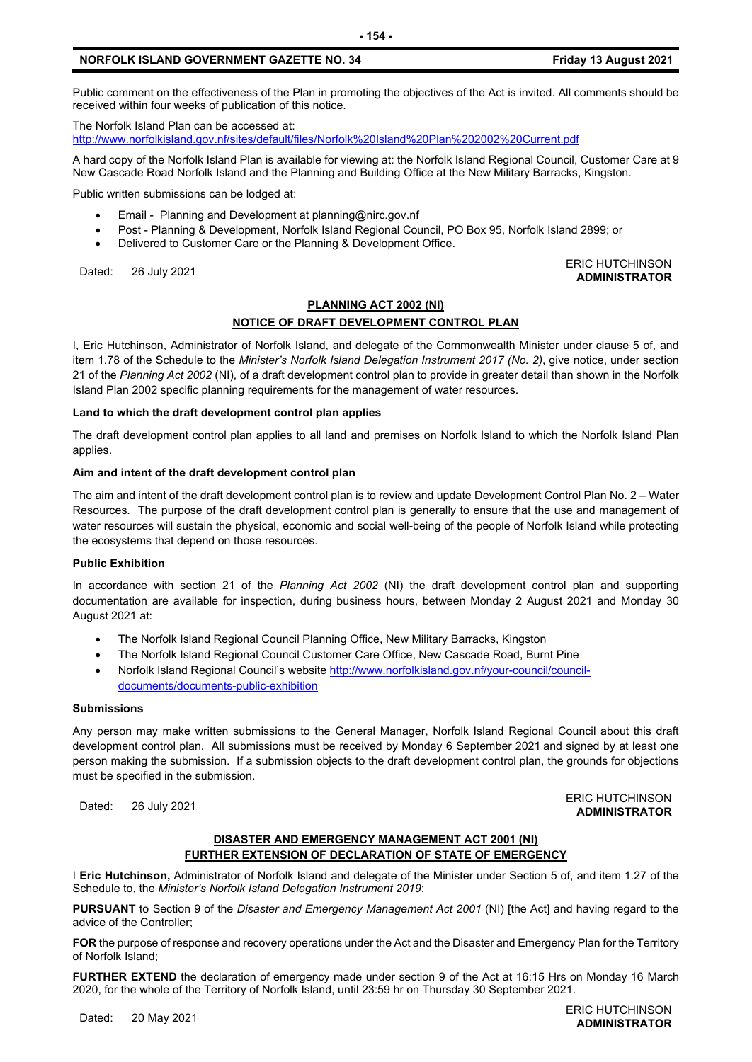# **NORFOLK ISLAND GOVERNMENT GAZETTE NO. 34 Friday 13 August 2021**

Public comment on the effectiveness of the Plan in promoting the objectives of the Act is invited. All comments should be received within four weeks of publication of this notice.

The Norfolk Island Plan can be accessed at:

<http://www.norfolkisland.gov.nf/sites/default/files/Norfolk%20Island%20Plan%202002%20Current.pdf>

A hard copy of the Norfolk Island Plan is available for viewing at: the Norfolk Island Regional Council, Customer Care at 9 New Cascade Road Norfolk Island and the Planning and Building Office at the New Military Barracks, Kingston.

Public written submissions can be lodged at:

- Email Planning and Development at [planning@nirc.gov.nf](mailto:planning@nirc.gov.nf)
- Post Planning & Development, Norfolk Island Regional Council, PO Box 95, Norfolk Island 2899; or
- Delivered to Customer Care or the Planning & Development Office.

Dated: 26 July 2021<br>Dated: 26 July 2021

# **PLANNING ACT 2002 (NI) NOTICE OF DRAFT DEVELOPMENT CONTROL PLAN**

I, Eric Hutchinson, Administrator of Norfolk Island, and delegate of the Commonwealth Minister under clause 5 of, and item 1.78 of the Schedule to the *Minister's Norfolk Island Delegation Instrument 2017 (No. 2)*, give notice, under section 21 of the *Planning Act 2002* (NI), of a draft development control plan to provide in greater detail than shown in the Norfolk Island Plan 2002 specific planning requirements for the management of water resources.

#### **Land to which the draft development control plan applies**

The draft development control plan applies to all land and premises on Norfolk Island to which the Norfolk Island Plan applies.

#### **Aim and intent of the draft development control plan**

The aim and intent of the draft development control plan is to review and update Development Control Plan No. 2 – Water Resources. The purpose of the draft development control plan is generally to ensure that the use and management of water resources will sustain the physical, economic and social well-being of the people of Norfolk Island while protecting the ecosystems that depend on those resources.

#### **Public Exhibition**

In accordance with section 21 of the *Planning Act 2002* (NI) the draft development control plan and supporting documentation are available for inspection, during business hours, between Monday 2 August 2021 and Monday 30 August 2021 at:

- The Norfolk Island Regional Council Planning Office, New Military Barracks, Kingston
- The Norfolk Island Regional Council Customer Care Office, New Cascade Road, Burnt Pine
- Norfolk Island Regional Council's website [http://www.norfolkisland.gov.nf/your-council/council](http://www.norfolkisland.gov.nf/your-council/council-documents/documents-public-exhibition)[documents/documents-public-exhibition](http://www.norfolkisland.gov.nf/your-council/council-documents/documents-public-exhibition)

#### **Submissions**

Any person may make written submissions to the General Manager, Norfolk Island Regional Council about this draft development control plan. All submissions must be received by Monday 6 September 2021 and signed by at least one person making the submission. If a submission objects to the draft development control plan, the grounds for objections must be specified in the submission.

Dated: 26 July 2021<br>Dated: 26 July 2021

## **DISASTER AND EMERGENCY MANAGEMENT ACT 2001 (NI) FURTHER EXTENSION OF DECLARATION OF STATE OF EMERGENCY**

I **Eric Hutchinson,** Administrator of Norfolk Island and delegate of the Minister under Section 5 of, and item 1.27 of the Schedule to, the *Minister's Norfolk Island Delegation Instrument 2019*:

**PURSUANT** to Section 9 of the *Disaster and Emergency Management Act 2001* (NI) [the Act] and having regard to the advice of the Controller;

**FOR** the purpose of response and recovery operations under the Act and the Disaster and Emergency Plan for the Territory of Norfolk Island;

**FURTHER EXTEND** the declaration of emergency made under section 9 of the Act at 16:15 Hrs on Monday 16 March 2020, for the whole of the Territory of Norfolk Island, until 23:59 hr on Thursday 30 September 2021.

Dated: 20 May 2021 ERIC HUTCHINSON **ADMINISTRATOR**

**ADMINISTRATOR**

**ADMINISTRATOR**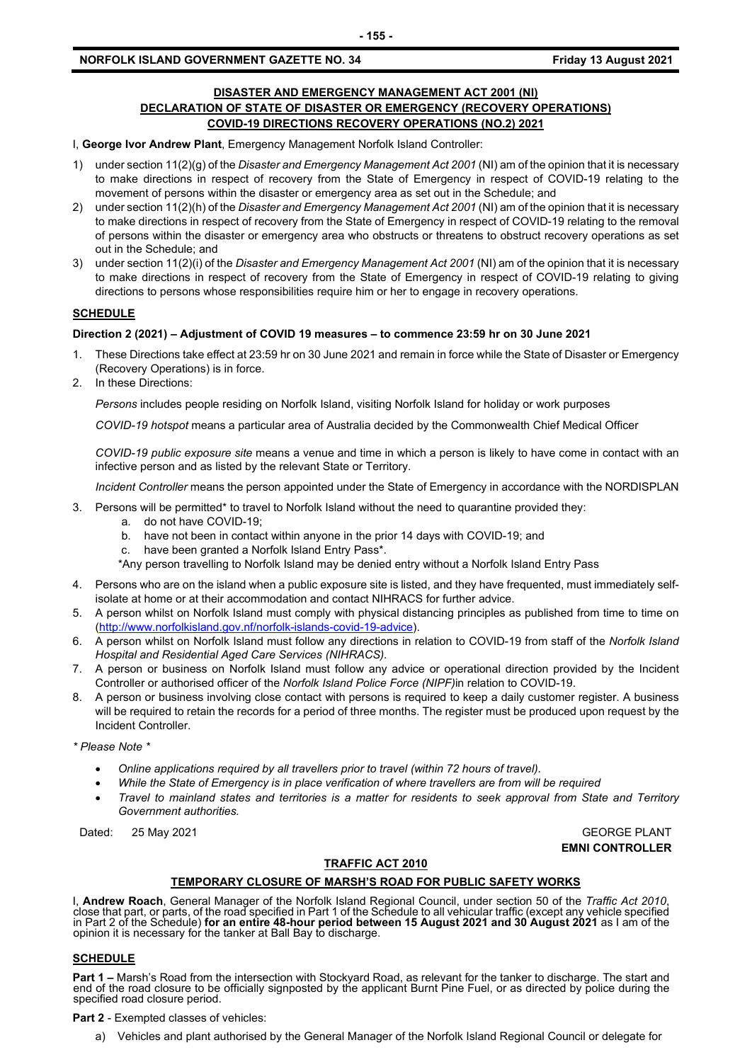# **DISASTER AND EMERGENCY MANAGEMENT ACT 2001 (NI) DECLARATION OF STATE OF DISASTER OR EMERGENCY (RECOVERY OPERATIONS) COVID-19 DIRECTIONS RECOVERY OPERATIONS (NO.2) 2021**

I, **George Ivor Andrew Plant**, Emergency Management Norfolk Island Controller:

- 1) under section 11(2)(g) of the *Disaster and Emergency Management Act 2001* (NI) am of the opinion that it is necessary to make directions in respect of recovery from the State of Emergency in respect of COVID-19 relating to the movement of persons within the disaster or emergency area as set out in the Schedule; and
- 2) under section 11(2)(h) of the *Disaster and Emergency Management Act 2001* (NI) am of the opinion that it is necessary to make directions in respect of recovery from the State of Emergency in respect of COVID-19 relating to the removal of persons within the disaster or emergency area who obstructs or threatens to obstruct recovery operations as set out in the Schedule; and
- 3) under section 11(2)(i) of the *Disaster and Emergency Management Act 2001* (NI) am of the opinion that it is necessary to make directions in respect of recovery from the State of Emergency in respect of COVID-19 relating to giving directions to persons whose responsibilities require him or her to engage in recovery operations.

# **SCHEDULE**

### **Direction 2 (2021) – Adjustment of COVID 19 measures – to commence 23:59 hr on 30 June 2021**

- 1. These Directions take effect at 23:59 hr on 30 June 2021 and remain in force while the State of Disaster or Emergency (Recovery Operations) is in force.
- 2. In these Directions:

*Persons* includes people residing on Norfolk Island, visiting Norfolk Island for holiday or work purposes

*COVID-19 hotspot* means a particular area of Australia decided by the Commonwealth Chief Medical Officer

*COVID-19 public exposure site* means a venue and time in which a person is likely to have come in contact with an infective person and as listed by the relevant State or Territory.

*Incident Controller* means the person appointed under the State of Emergency in accordance with the NORDISPLAN

- 3. Persons will be permitted\* to travel to Norfolk Island without the need to quarantine provided they:
	- a. do not have COVID-19;
	- b. have not been in contact within anyone in the prior 14 days with COVID-19; and
	- c. have been granted a Norfolk Island Entry Pass\*.
	- \*Any person travelling to Norfolk Island may be denied entry without a Norfolk Island Entry Pass
- 4. Persons who are on the island when a public exposure site is listed, and they have frequented, must immediately selfisolate at home or at their accommodation and contact NIHRACS for further advice.
- 5. A person whilst on Norfolk Island must comply with physical distancing principles as published from time to time on [\(http://www.norfolkisland.gov.nf/norfolk-islands-covid-19-advice\)](http://www.norfolkisland.gov.nf/norfolk-islands-covid-19-advice).
- 6. A person whilst on Norfolk Island must follow any directions in relation to COVID-19 from staff of the *Norfolk Island Hospital and Residential Aged Care Services (NIHRACS).*
- 7. A person or business on Norfolk Island must follow any advice or operational direction provided by the Incident Controller or authorised officer of the *Norfolk Island Police Force (NIPF)*in relation to COVID-19.
- 8. A person or business involving close contact with persons is required to keep a daily customer register. A business will be required to retain the records for a period of three months. The register must be produced upon request by the Incident Controller.

*\* Please Note \** 

- *Online applications required by all travellers prior to travel (within 72 hours of travel).*
- *While the State of Emergency is in place verification of where travellers are from will be required*
- *Travel to mainland states and territories is a matter for residents to seek approval from State and Territory Government authorities.*

Dated: 25 May 2021 GEORGE PLANT

**EMNI CONTROLLER**

# **TRAFFIC ACT 2010**

# **TEMPORARY CLOSURE OF MARSH'S ROAD FOR PUBLIC SAFETY WORKS**

I, Andrew Roach, General Manager of the Norfolk Island Regional Council, under section 50 of the Traffic Act 2010, close that part, or parts, of the road specified in Part 1 of the Schedule to all vehicular traffic (except in Part 2 of the Schedule) **for an entire 48-hour period between 15 August 2021 and 30 August 2021** as I am of the opinion it is necessary for the tanker at Ball Bay to discharge.

#### **SCHEDULE**

**Part 1 –** Marsh's Road from the intersection with Stockyard Road, as relevant for the tanker to discharge. The start and end of the road closure to be officially signposted by the applicant Burnt Pine Fuel, or as directed by police during the<br>specified road closure period.

**Part 2** - Exempted classes of vehicles:

a) Vehicles and plant authorised by the General Manager of the Norfolk Island Regional Council or delegate for